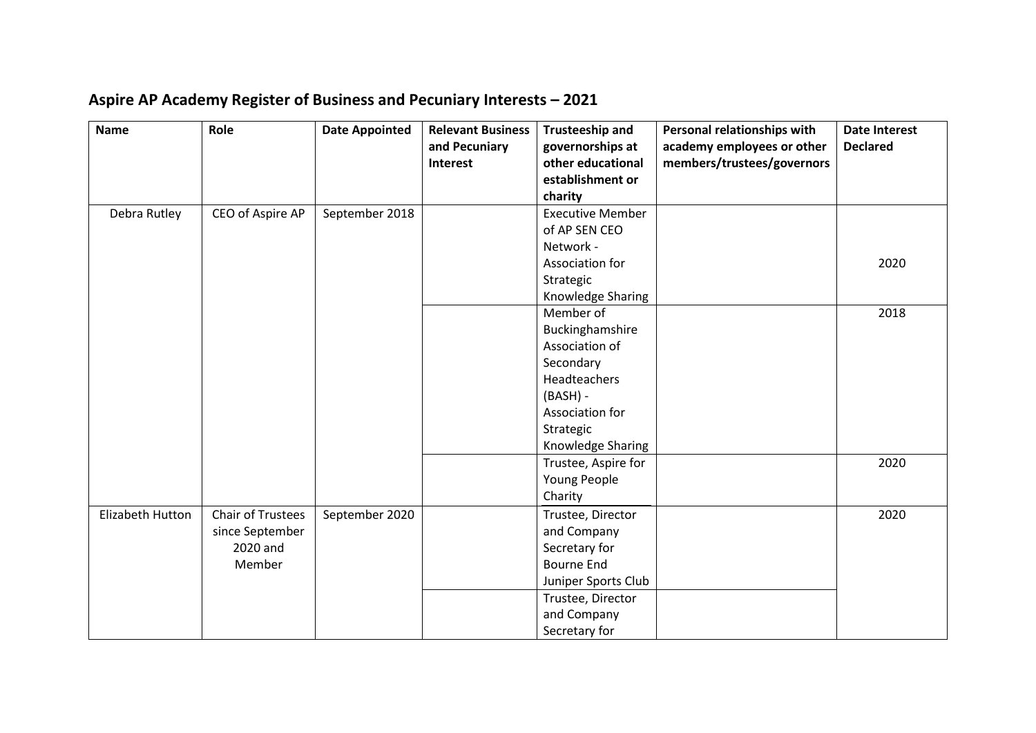| Aspire AP Academy Register of Business and Pecuniary Interests - 2021 |
|-----------------------------------------------------------------------|
|-----------------------------------------------------------------------|

| <b>Name</b>      | Role                     | <b>Date Appointed</b> | <b>Relevant Business</b> | <b>Trusteeship and</b>                | Personal relationships with | <b>Date Interest</b> |
|------------------|--------------------------|-----------------------|--------------------------|---------------------------------------|-----------------------------|----------------------|
|                  |                          |                       | and Pecuniary            | governorships at<br>other educational | academy employees or other  | <b>Declared</b>      |
|                  |                          |                       | Interest                 | establishment or                      | members/trustees/governors  |                      |
|                  |                          |                       |                          | charity                               |                             |                      |
| Debra Rutley     | CEO of Aspire AP         | September 2018        |                          | <b>Executive Member</b>               |                             |                      |
|                  |                          |                       |                          | of AP SEN CEO                         |                             |                      |
|                  |                          |                       |                          | Network -                             |                             |                      |
|                  |                          |                       |                          | Association for                       |                             | 2020                 |
|                  |                          |                       |                          | Strategic                             |                             |                      |
|                  |                          |                       |                          | Knowledge Sharing                     |                             |                      |
|                  |                          |                       |                          | Member of                             |                             | 2018                 |
|                  |                          |                       |                          | Buckinghamshire                       |                             |                      |
|                  |                          |                       |                          | Association of                        |                             |                      |
|                  |                          |                       |                          | Secondary                             |                             |                      |
|                  |                          |                       |                          | Headteachers                          |                             |                      |
|                  |                          |                       |                          | $(BASH) -$                            |                             |                      |
|                  |                          |                       |                          | Association for                       |                             |                      |
|                  |                          |                       |                          | Strategic                             |                             |                      |
|                  |                          |                       |                          | Knowledge Sharing                     |                             |                      |
|                  |                          |                       |                          | Trustee, Aspire for                   |                             | 2020                 |
|                  |                          |                       |                          | Young People                          |                             |                      |
|                  |                          |                       |                          | Charity                               |                             |                      |
| Elizabeth Hutton | <b>Chair of Trustees</b> | September 2020        |                          | Trustee, Director                     |                             | 2020                 |
|                  | since September          |                       |                          | and Company                           |                             |                      |
|                  | 2020 and                 |                       |                          | Secretary for                         |                             |                      |
|                  | Member                   |                       |                          | <b>Bourne End</b>                     |                             |                      |
|                  |                          |                       |                          | Juniper Sports Club                   |                             |                      |
|                  |                          |                       |                          | Trustee, Director                     |                             |                      |
|                  |                          |                       |                          | and Company                           |                             |                      |
|                  |                          |                       |                          | Secretary for                         |                             |                      |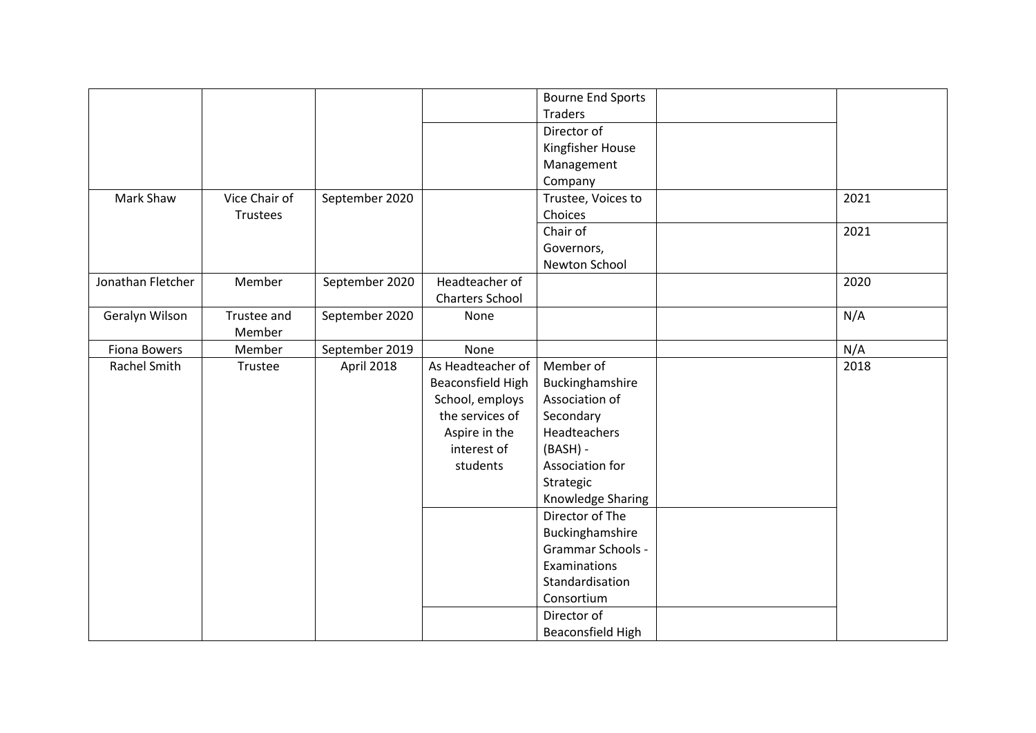|                     |               |                |                        | <b>Bourne End Sports</b> |      |
|---------------------|---------------|----------------|------------------------|--------------------------|------|
|                     |               |                |                        | <b>Traders</b>           |      |
|                     |               |                |                        | Director of              |      |
|                     |               |                |                        | Kingfisher House         |      |
|                     |               |                |                        | Management               |      |
|                     |               |                |                        | Company                  |      |
| Mark Shaw           | Vice Chair of | September 2020 |                        | Trustee, Voices to       | 2021 |
|                     | Trustees      |                |                        | Choices                  |      |
|                     |               |                |                        | Chair of                 | 2021 |
|                     |               |                |                        | Governors,               |      |
|                     |               |                |                        | Newton School            |      |
| Jonathan Fletcher   | Member        | September 2020 | Headteacher of         |                          | 2020 |
|                     |               |                | <b>Charters School</b> |                          |      |
| Geralyn Wilson      | Trustee and   | September 2020 | None                   |                          | N/A  |
|                     | Member        |                |                        |                          |      |
| <b>Fiona Bowers</b> | Member        | September 2019 | None                   |                          | N/A  |
| Rachel Smith        | Trustee       | April 2018     | As Headteacher of      | Member of                | 2018 |
|                     |               |                | Beaconsfield High      | Buckinghamshire          |      |
|                     |               |                | School, employs        | Association of           |      |
|                     |               |                | the services of        | Secondary                |      |
|                     |               |                | Aspire in the          | Headteachers             |      |
|                     |               |                | interest of            | $(BASH) -$               |      |
|                     |               |                | students               | Association for          |      |
|                     |               |                |                        | Strategic                |      |
|                     |               |                |                        | Knowledge Sharing        |      |
|                     |               |                |                        | Director of The          |      |
|                     |               |                |                        | Buckinghamshire          |      |
|                     |               |                |                        | Grammar Schools -        |      |
|                     |               |                |                        | Examinations             |      |
|                     |               |                |                        | Standardisation          |      |
|                     |               |                |                        | Consortium               |      |
|                     |               |                |                        | Director of              |      |
|                     |               |                |                        | Beaconsfield High        |      |